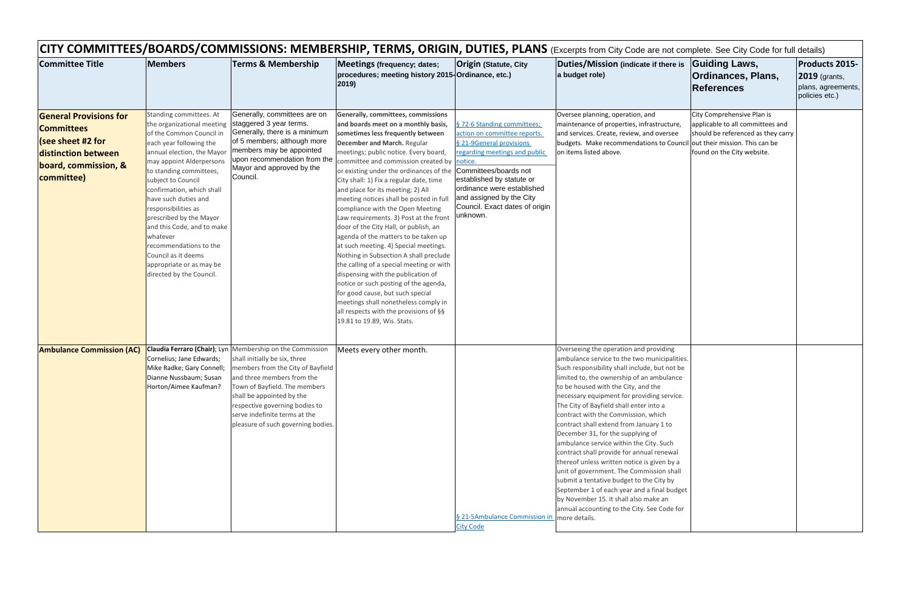| <b>Committee Title</b>                                                                                                                                      | <b>Members</b>                                                                                                                                                                                                                                                                                                                                                                                                                                                                    | <b>Terms &amp; Membership</b>                                                                                                                                                                                                                                                                                                                | Meetings (frequency; dates;<br>procedures; meeting history 2015-Ordinance, etc.)                                                                                                                                                                                                                                                                                                                                                                                                                                                                                                                                                                                                                                                                                                                                                                                                                                                                                           | <b>Origin (Statute, City</b>                                                                                                                                                                                                                                  | CITY COMMITTEES/BOARDS/COMMISSIONS: MEMBERSHIP, TERMS, ORIGIN, DUTIES, PLANS (Excerpts from City Code are not complete. See City Code for full details)<br>Duties/Mission (indicate if there is Guiding Laws,<br>a budget role)                                                                                                                                                                                                                                                                                                                                                                                                                                                                                                                                                                                   | Ordinances, Plans,                                                                                                                 | <b>Products 2015-</b><br><b>2019</b> (grants, |
|-------------------------------------------------------------------------------------------------------------------------------------------------------------|-----------------------------------------------------------------------------------------------------------------------------------------------------------------------------------------------------------------------------------------------------------------------------------------------------------------------------------------------------------------------------------------------------------------------------------------------------------------------------------|----------------------------------------------------------------------------------------------------------------------------------------------------------------------------------------------------------------------------------------------------------------------------------------------------------------------------------------------|----------------------------------------------------------------------------------------------------------------------------------------------------------------------------------------------------------------------------------------------------------------------------------------------------------------------------------------------------------------------------------------------------------------------------------------------------------------------------------------------------------------------------------------------------------------------------------------------------------------------------------------------------------------------------------------------------------------------------------------------------------------------------------------------------------------------------------------------------------------------------------------------------------------------------------------------------------------------------|---------------------------------------------------------------------------------------------------------------------------------------------------------------------------------------------------------------------------------------------------------------|-------------------------------------------------------------------------------------------------------------------------------------------------------------------------------------------------------------------------------------------------------------------------------------------------------------------------------------------------------------------------------------------------------------------------------------------------------------------------------------------------------------------------------------------------------------------------------------------------------------------------------------------------------------------------------------------------------------------------------------------------------------------------------------------------------------------|------------------------------------------------------------------------------------------------------------------------------------|-----------------------------------------------|
|                                                                                                                                                             |                                                                                                                                                                                                                                                                                                                                                                                                                                                                                   |                                                                                                                                                                                                                                                                                                                                              | 2019)                                                                                                                                                                                                                                                                                                                                                                                                                                                                                                                                                                                                                                                                                                                                                                                                                                                                                                                                                                      |                                                                                                                                                                                                                                                               |                                                                                                                                                                                                                                                                                                                                                                                                                                                                                                                                                                                                                                                                                                                                                                                                                   | <b>References</b>                                                                                                                  | plans, agreements,<br>policies etc.)          |
| <b>General Provisions for</b><br><b>Committees</b><br>$\sqrt{\frac{360}{1}}$ (see sheet #2 for<br>distinction between<br>board, commission, &<br>committee) | Standing committees. At<br>the organizational meeting<br>of the Common Council in<br>each year following the<br>annual election, the Mayor<br>may appoint Alderpersons<br>to standing committees,<br>subject to Council<br>confirmation, which shall<br>have such duties and<br>responsibilities as<br>prescribed by the Mayor<br>and this Code, and to make<br>whatever<br>recommendations to the<br>Council as it deems<br>appropriate or as may be<br>directed by the Council. | Generally, committees are on<br>staggered 3 year terms.<br>Generally, there is a minimum<br>of 5 members; although more<br>members may be appointed<br>upon recommendation from the<br>Mayor and approved by the<br> Council                                                                                                                 | <b>Generally, committees, commissions</b><br>and boards meet on a monthly basis,<br>sometimes less frequently between<br>December and March. Regular<br>meetings; public notice. Every board,<br>committee and commission created by notice.<br>or existing under the ordinances of the Committees/boards not<br>City shall: 1) Fix a regular date, time<br>and place for its meeting; 2) All<br>meeting notices shall be posted in full<br>compliance with the Open Meeting<br>Law requirements. 3) Post at the front<br>door of the City Hall, or publish, an<br>agenda of the matters to be taken up<br>at such meeting. 4) Special meetings.<br>Nothing in Subsection A shall preclude<br>the calling of a special meeting or with<br>dispensing with the publication of<br>notice or such posting of the agenda,<br>for good cause, but such special<br>meetings shall nonetheless comply in<br>all respects with the provisions of §§<br>19.81 to 19.89, Wis. Stats. | § 72-6 Standing committees;<br>action on committee reports.<br>§ 21-9General provisions<br>regarding meetings and public<br>established by statute or<br>ordinance were established<br>and assigned by the City<br>Council. Exact dates of origin<br>unknown. | Oversee planning, operation, and<br>maintenance of properties, infrastructure,<br>and services. Create, review, and oversee<br>budgets. Make recommendations to Council out their mission. This can be<br>on items listed above.                                                                                                                                                                                                                                                                                                                                                                                                                                                                                                                                                                                  | City Comprehensive Plan is<br>applicable to all committees and<br>should be referenced as they carry<br>found on the City website. |                                               |
| <b>Ambulance Commission (AC)</b>                                                                                                                            | Cornelius; Jane Edwards;<br>Mike Radke; Gary Connell;<br>Dianne Nussbaum; Susan<br>Horton/Aimee Kaufman?                                                                                                                                                                                                                                                                                                                                                                          | <b>Claudia Ferraro (Chair)</b> ; Lyn Membership on the Commission<br>shall initially be six, three<br>members from the City of Bayfield<br>and three members from the<br>Town of Bayfield. The members<br>shall be appointed by the<br>respective governing bodies to<br>serve indefinite terms at the<br>pleasure of such governing bodies. | Meets every other month.                                                                                                                                                                                                                                                                                                                                                                                                                                                                                                                                                                                                                                                                                                                                                                                                                                                                                                                                                   | § 21-5Ambulance Commission in   more details.<br><b>City Code</b>                                                                                                                                                                                             | Overseeing the operation and providing<br>ambulance service to the two municipalities.<br>Such responsibility shall include, but not be<br>limited to, the ownership of an ambulance<br>to be housed with the City, and the<br>necessary equipment for providing service.<br>The City of Bayfield shall enter into a<br>contract with the Commission, which<br>contract shall extend from January 1 to<br>December 31, for the supplying of<br>ambulance service within the City. Such<br>contract shall provide for annual renewal<br>thereof unless written notice is given by a<br>unit of government. The Commission shall<br>submit a tentative budget to the City by<br>September 1 of each year and a final budget<br>by November 15. It shall also make an<br>annual accounting to the City. See Code for |                                                                                                                                    |                                               |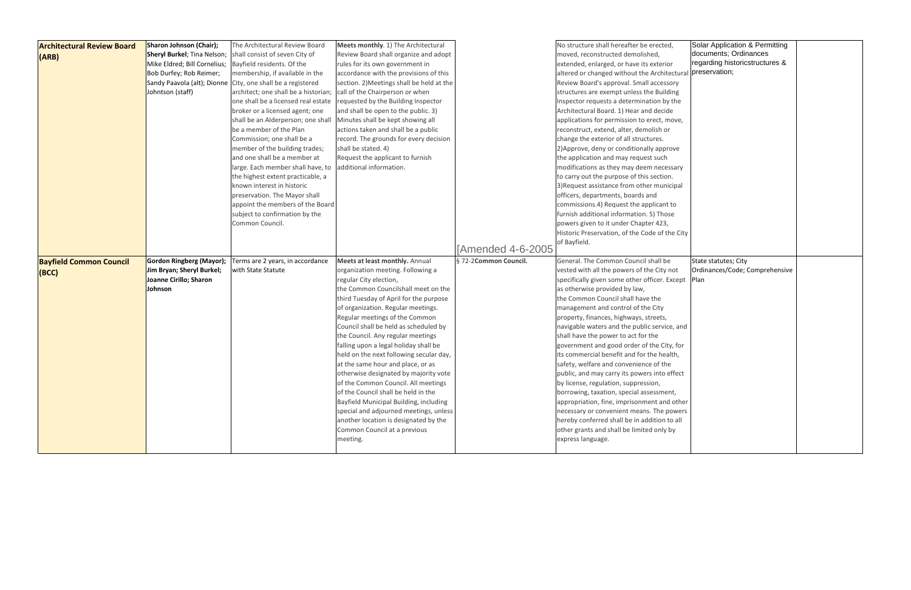| <b>Architectural Review Board</b> | Sharon Johnson (Chair);                                 | The Architectural Review Board                                       | Meets monthly. 1) The Architectural       |                          | No structure shall hereafter be erected,           | Solar Application & Permitting |  |
|-----------------------------------|---------------------------------------------------------|----------------------------------------------------------------------|-------------------------------------------|--------------------------|----------------------------------------------------|--------------------------------|--|
| (ARB)                             |                                                         | <b>Sheryl Burkel; Tina Nelson;   shall consist of seven City of</b>  | Review Board shall organize and adopt     |                          | moved, reconstructed demolished,                   | documents; Ordinances          |  |
|                                   | Mike Eldred; Bill Cornelius; Bayfield residents. Of the |                                                                      | rules for its own government in           |                          | extended, enlarged, or have its exterior           | regarding historicstructures & |  |
|                                   | Bob Durfey; Rob Reimer;                                 | membership, if available in the                                      | accordance with the provisions of this    |                          | altered or changed without the Architectural       | preservation;                  |  |
|                                   |                                                         | Sandy Paavola (alt); Dionne City, one shall be a registered          | section. 2) Meetings shall be held at the |                          | Review Board's approval. Small accessory           |                                |  |
|                                   | Johntson (staff)                                        | architect; one shall be a historian; call of the Chairperson or when |                                           |                          | structures are exempt unless the Building          |                                |  |
|                                   |                                                         | one shall be a licensed real estate                                  | requested by the Building Inspector       |                          | Inspector requests a determination by the          |                                |  |
|                                   |                                                         | broker or a licensed agent; one                                      | and shall be open to the public. 3)       |                          | Architectural Board. 1) Hear and decide            |                                |  |
|                                   |                                                         | shall be an Alderperson; one shall                                   | Minutes shall be kept showing all         |                          | applications for permission to erect, move,        |                                |  |
|                                   |                                                         | be a member of the Plan                                              | actions taken and shall be a public       |                          | reconstruct, extend, alter, demolish or            |                                |  |
|                                   |                                                         | Commission; one shall be a                                           | record. The grounds for every decision    |                          | change the exterior of all structures.             |                                |  |
|                                   |                                                         | member of the building trades;                                       | shall be stated. 4)                       |                          | 2) Approve, deny or conditionally approve          |                                |  |
|                                   |                                                         | and one shall be a member at                                         | Request the applicant to furnish          |                          | the application and may request such               |                                |  |
|                                   |                                                         | large. Each member shall have, to additional information.            |                                           |                          | modifications as they may deem necessary           |                                |  |
|                                   |                                                         | the highest extent practicable, a                                    |                                           |                          | to carry out the purpose of this section.          |                                |  |
|                                   |                                                         | known interest in historic                                           |                                           |                          | 3) Request assistance from other municipal         |                                |  |
|                                   |                                                         | preservation. The Mayor shall                                        |                                           |                          | officers, departments, boards and                  |                                |  |
|                                   |                                                         | appoint the members of the Board                                     |                                           |                          | commissions.4) Request the applicant to            |                                |  |
|                                   |                                                         | subject to confirmation by the                                       |                                           |                          | furnish additional information. 5) Those           |                                |  |
|                                   |                                                         | Common Council.                                                      |                                           |                          | powers given to it under Chapter 423,              |                                |  |
|                                   |                                                         |                                                                      |                                           |                          | Historic Preservation, of the Code of the City     |                                |  |
|                                   |                                                         |                                                                      |                                           |                          | of Bayfield.                                       |                                |  |
|                                   |                                                         |                                                                      |                                           | <b>[Amended 4-6-2005</b> |                                                    |                                |  |
| <b>Bayfield Common Council</b>    | Gordon Ringberg (Mayor);                                | Terms are 2 years, in accordance                                     | Meets at least monthly. Annual            | § 72-2Common Council.    | General. The Common Council shall be               | State statutes; City           |  |
| (BCC)                             | Jim Bryan; Sheryl Burkel;                               | with State Statute                                                   | organization meeting. Following a         |                          | vested with all the powers of the City not         | Ordinances/Code; Comprehensive |  |
|                                   | Joanne Cirillo; Sharon                                  |                                                                      | regular City election,                    |                          | specifically given some other officer. Except Plan |                                |  |
|                                   | Johnson                                                 |                                                                      | the Common Councilshall meet on the       |                          | as otherwise provided by law,                      |                                |  |
|                                   |                                                         |                                                                      | third Tuesday of April for the purpose    |                          | the Common Council shall have the                  |                                |  |
|                                   |                                                         |                                                                      | of organization. Regular meetings.        |                          | management and control of the City                 |                                |  |
|                                   |                                                         |                                                                      | Regular meetings of the Common            |                          | property, finances, highways, streets,             |                                |  |
|                                   |                                                         |                                                                      | Council shall be held as scheduled by     |                          | navigable waters and the public service, and       |                                |  |
|                                   |                                                         |                                                                      | the Council. Any regular meetings         |                          | shall have the power to act for the                |                                |  |
|                                   |                                                         |                                                                      | falling upon a legal holiday shall be     |                          | government and good order of the City, for         |                                |  |
|                                   |                                                         |                                                                      | held on the next following secular day,   |                          | its commercial benefit and for the health,         |                                |  |
|                                   |                                                         |                                                                      | at the same hour and place, or as         |                          | safety, welfare and convenience of the             |                                |  |
|                                   |                                                         |                                                                      | otherwise designated by majority vote     |                          | public, and may carry its powers into effect       |                                |  |
|                                   |                                                         |                                                                      | of the Common Council. All meetings       |                          | by license, regulation, suppression,               |                                |  |
|                                   |                                                         |                                                                      | of the Council shall be held in the       |                          | borrowing, taxation, special assessment,           |                                |  |
|                                   |                                                         |                                                                      | Bayfield Municipal Building, including    |                          | appropriation, fine, imprisonment and other        |                                |  |
|                                   |                                                         |                                                                      | special and adjourned meetings, unless    |                          | necessary or convenient means. The powers          |                                |  |
|                                   |                                                         |                                                                      | another location is designated by the     |                          | hereby conferred shall be in addition to all       |                                |  |
|                                   |                                                         |                                                                      | Common Council at a previous              |                          | other grants and shall be limited only by          |                                |  |
|                                   |                                                         |                                                                      | meeting.                                  |                          | express language.                                  |                                |  |
|                                   |                                                         |                                                                      |                                           |                          |                                                    |                                |  |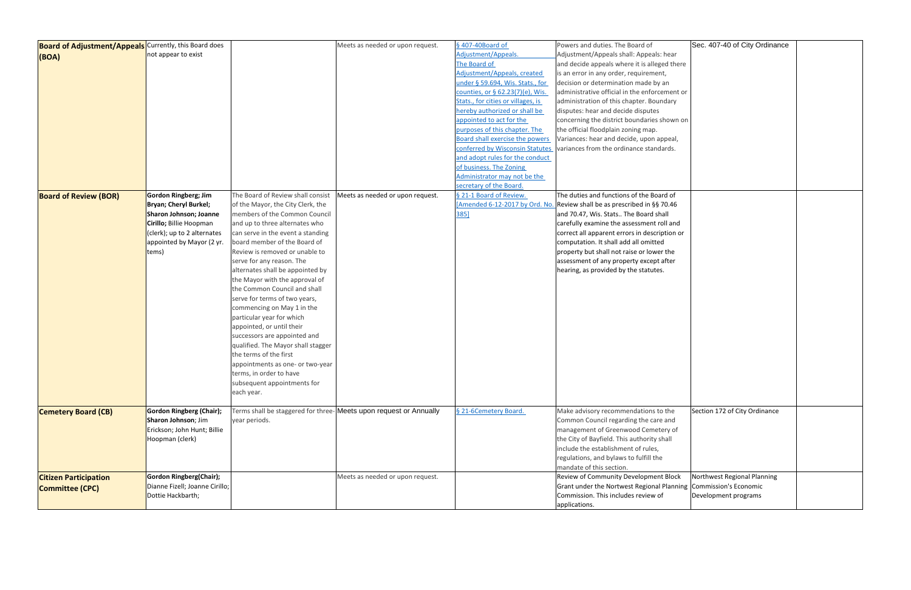| <b>Board of Adjustment/Appeals</b> Currently, this Board does<br> (BOA) <br><b>Board of Review (BOR)</b> | not appear to exist<br><b>Gordon Ringberg; Jim</b><br>Bryan; Cheryl Burkel;<br><b>Sharon Johnson; Joanne</b><br>Cirillo; Billie Hoopman<br>(clerk); up to 2 alternates<br>appointed by Mayor (2 yr.<br>tems) | The Board of Review shall consist<br>of the Mayor, the City Clerk, the<br>members of the Common Council<br>and up to three alternates who<br>can serve in the event a standing<br>board member of the Board of<br>Review is removed or unable to<br>serve for any reason. The<br>alternates shall be appointed by<br>the Mayor with the approval of<br>the Common Council and shall<br>serve for terms of two years,<br>commencing on May 1 in the<br>particular year for which<br>appointed, or until their<br>successors are appointed and<br>qualified. The Mayor shall stagger<br>the terms of the first<br>appointments as one- or two-year<br>terms, in order to have<br>subsequent appointments for<br>each year. | Meets as needed or upon request.<br>Meets as needed or upon request. | §407-40Board of<br>Adjustment/Appeals.<br>The Board of<br>Adjustment/Appeals, created<br>under $\S$ 59.694, Wis. Stats., for<br>counties, or § 62.23(7)(e), Wis.<br>Stats., for cities or villages, is<br>hereby authorized or shall be<br>appointed to act for the<br>purposes of this chapter. The<br>Board shall exercise the powers<br>conferred by Wisconsin Statutes<br>and adopt rules for the conduct<br>of business. The Zoning<br>Administrator may not be the<br>secretary of the Board.<br>§ 21-1 Board of Review.<br>385] | Powers and duties. The Board of<br>Adjustment/Appeals shall: Appeals: hear<br>and decide appeals where it is alleged ther<br>is an error in any order, requirement,<br>decision or determination made by an<br>administrative official in the enforcement<br>administration of this chapter. Boundary<br>disputes: hear and decide disputes<br>concerning the district boundaries shown<br>the official floodplain zoning map.<br>Variances: hear and decide, upon appeal,<br>variances from the ordinance standards.<br>The duties and functions of the Board of<br>[Amended 6-12-2017 by Ord. No.] Review shall be as prescribed in §§ 70.46<br>and 70.47, Wis. Stats The Board shall<br>carefully examine the assessment roll and<br>correct all apparent errors in description o<br>computation. It shall add all omitted<br>property but shall not raise or lower the<br>assessment of any property except after<br>hearing, as provided by the statutes. |
|----------------------------------------------------------------------------------------------------------|--------------------------------------------------------------------------------------------------------------------------------------------------------------------------------------------------------------|--------------------------------------------------------------------------------------------------------------------------------------------------------------------------------------------------------------------------------------------------------------------------------------------------------------------------------------------------------------------------------------------------------------------------------------------------------------------------------------------------------------------------------------------------------------------------------------------------------------------------------------------------------------------------------------------------------------------------|----------------------------------------------------------------------|----------------------------------------------------------------------------------------------------------------------------------------------------------------------------------------------------------------------------------------------------------------------------------------------------------------------------------------------------------------------------------------------------------------------------------------------------------------------------------------------------------------------------------------|----------------------------------------------------------------------------------------------------------------------------------------------------------------------------------------------------------------------------------------------------------------------------------------------------------------------------------------------------------------------------------------------------------------------------------------------------------------------------------------------------------------------------------------------------------------------------------------------------------------------------------------------------------------------------------------------------------------------------------------------------------------------------------------------------------------------------------------------------------------------------------------------------------------------------------------------------------------|
| <b>Cemetery Board (CB)</b>                                                                               | <b>Gordon Ringberg (Chair);</b><br>Sharon Johnson; Jim<br>Erickson; John Hunt; Billie<br>Hoopman (clerk)                                                                                                     | year periods.                                                                                                                                                                                                                                                                                                                                                                                                                                                                                                                                                                                                                                                                                                            | Terms shall be staggered for three- Meets upon request or Annually   | § 21-6Cemetery Board.                                                                                                                                                                                                                                                                                                                                                                                                                                                                                                                  | Make advisory recommendations to the<br>Common Council regarding the care and<br>management of Greenwood Cemetery of<br>the City of Bayfield. This authority shall<br>include the establishment of rules,<br>regulations, and bylaws to fulfill the                                                                                                                                                                                                                                                                                                                                                                                                                                                                                                                                                                                                                                                                                                            |
| <b>Citizen Participation</b><br>Committee (CPC)                                                          | Gordon Ringberg(Chair);<br>Dianne Fizell; Joanne Cirillo;<br>Dottie Hackbarth;                                                                                                                               |                                                                                                                                                                                                                                                                                                                                                                                                                                                                                                                                                                                                                                                                                                                          | Meets as needed or upon request.                                     |                                                                                                                                                                                                                                                                                                                                                                                                                                                                                                                                        | mandate of this section.<br><b>Review of Community Development Block</b><br>Grant under the Nortwest Regional Planning<br>Commission. This includes review of<br>applications.                                                                                                                                                                                                                                                                                                                                                                                                                                                                                                                                                                                                                                                                                                                                                                                 |

| §407-40Board of<br>Adjustment/Appeals.<br>The Board of<br>Adjustment/Appeals, created<br>under § 59.694, Wis. Stats., for<br>counties, or § 62.23(7)(e), Wis.<br>Stats., for cities or villages, is<br>hereby authorized or shall be<br>appointed to act for the<br>purposes of this chapter. The<br>Board shall exercise the powers<br>conferred by Wisconsin Statutes<br>and adopt rules for the conduct<br>of business. The Zoning<br>Administrator may not be the<br>secretary of the Board. | Powers and duties. The Board of<br>Adjustment/Appeals shall: Appeals: hear<br>and decide appeals where it is alleged there<br>is an error in any order, requirement,<br>decision or determination made by an<br>administrative official in the enforcement or<br>administration of this chapter. Boundary<br>disputes: hear and decide disputes<br>concerning the district boundaries shown on<br>the official floodplain zoning map.<br>Variances: hear and decide, upon appeal,<br>variances from the ordinance standards. | Sec. 407-40 of City Ordinance                                                       |  |
|--------------------------------------------------------------------------------------------------------------------------------------------------------------------------------------------------------------------------------------------------------------------------------------------------------------------------------------------------------------------------------------------------------------------------------------------------------------------------------------------------|------------------------------------------------------------------------------------------------------------------------------------------------------------------------------------------------------------------------------------------------------------------------------------------------------------------------------------------------------------------------------------------------------------------------------------------------------------------------------------------------------------------------------|-------------------------------------------------------------------------------------|--|
| § 21-1 Board of Review.<br>385]                                                                                                                                                                                                                                                                                                                                                                                                                                                                  | The duties and functions of the Board of<br>[Amended 6-12-2017 by Ord. No.] Review shall be as prescribed in §§ 70.46<br>and 70.47, Wis. Stats The Board shall<br>carefully examine the assessment roll and<br>correct all apparent errors in description or<br>computation. It shall add all omitted<br>property but shall not raise or lower the<br>assessment of any property except after<br>hearing, as provided by the statutes.                                                                                       |                                                                                     |  |
| § 21-6Cemetery Board.                                                                                                                                                                                                                                                                                                                                                                                                                                                                            | Make advisory recommendations to the<br>Common Council regarding the care and<br>management of Greenwood Cemetery of<br>the City of Bayfield. This authority shall<br>include the establishment of rules,<br>regulations, and bylaws to fulfill the<br>mandate of this section.                                                                                                                                                                                                                                              | Section 172 of City Ordinance                                                       |  |
|                                                                                                                                                                                                                                                                                                                                                                                                                                                                                                  | Review of Community Development Block<br>Grant under the Nortwest Regional Planning<br>Commission. This includes review of<br>applications.                                                                                                                                                                                                                                                                                                                                                                                  | Northwest Regional Planning<br><b>Commission's Economic</b><br>Development programs |  |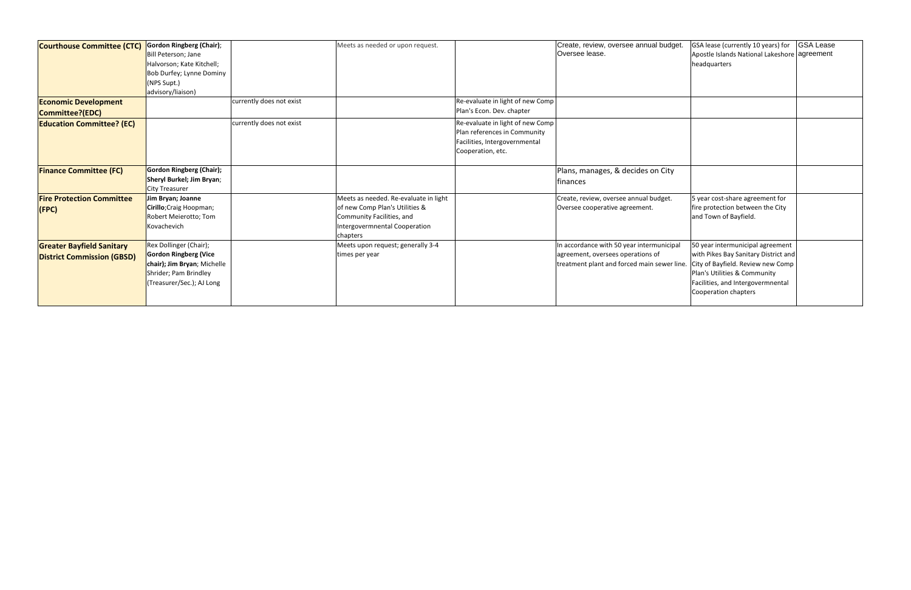| <b>Courthouse Committee (CTC)</b><br><b>Economic Development</b>      | Gordon Ringberg (Chair);<br>Bill Peterson; Jane<br>Halvorson; Kate Kitchell;<br>Bob Durfey; Lynne Dominy<br>(NPS Supt.)<br>advisory/liaison) | currently does not exist | Meets as needed or upon request.                                                                                                                  | Re-evaluate in light of new Comp                                                                                       | Create, review, oversee annual budget.<br>Oversee lease.                                                                      | GSA lease (currently 10 years) for<br>Apostle Islands National Lakeshore agreement<br>headquarters                                                                                                         | <b>GSA Lease</b> |
|-----------------------------------------------------------------------|----------------------------------------------------------------------------------------------------------------------------------------------|--------------------------|---------------------------------------------------------------------------------------------------------------------------------------------------|------------------------------------------------------------------------------------------------------------------------|-------------------------------------------------------------------------------------------------------------------------------|------------------------------------------------------------------------------------------------------------------------------------------------------------------------------------------------------------|------------------|
| Committee?(EDC)                                                       |                                                                                                                                              |                          |                                                                                                                                                   | Plan's Econ. Dev. chapter                                                                                              |                                                                                                                               |                                                                                                                                                                                                            |                  |
| <b>Education Committee? (EC)</b>                                      |                                                                                                                                              | currently does not exist |                                                                                                                                                   | Re-evaluate in light of new Comp<br>Plan references in Community<br>Facilities, Intergovernmental<br>Cooperation, etc. |                                                                                                                               |                                                                                                                                                                                                            |                  |
| <b>Finance Committee (FC)</b>                                         | Gordon Ringberg (Chair);<br>Sheryl Burkel; Jim Bryan;<br><b>City Treasurer</b>                                                               |                          |                                                                                                                                                   |                                                                                                                        | Plans, manages, & decides on City<br><i>l</i> finances                                                                        |                                                                                                                                                                                                            |                  |
| <b>Fire Protection Committee</b><br>$ $ (FPC)                         | Jim Bryan; Joanne<br>Cirillo;Craig Hoopman;<br><b>Robert Meierotto; Tom</b><br>Kovachevich                                                   |                          | Meets as needed. Re-evaluate in light<br>of new Comp Plan's Utilities &<br>Community Facilities, and<br>Intergovermnental Cooperation<br>chapters |                                                                                                                        | Create, review, oversee annual budget.<br>Oversee cooperative agreement.                                                      | 5 year cost-share agreement for<br>fire protection between the City<br>and Town of Bayfield.                                                                                                               |                  |
| <b>Greater Bayfield Sanitary</b><br><b>District Commission (GBSD)</b> | Rex Dollinger (Chair);<br>Gordon Ringberg (Vice<br>chair); Jim Bryan; Michelle<br>Shrider; Pam Brindley<br>(Treasurer/Sec.); AJ Long         |                          | Meets upon request; generally 3-4<br>times per year                                                                                               |                                                                                                                        | In accordance with 50 year intermunicipal<br>agreement, oversees operations of<br>treatment plant and forced main sewer line. | 50 year intermunicipal agreement<br>with Pikes Bay Sanitary District and<br>City of Bayfield. Review new Comp<br>Plan's Utilities & Community<br>Facilities, and Intergovermnental<br>Cooperation chapters |                  |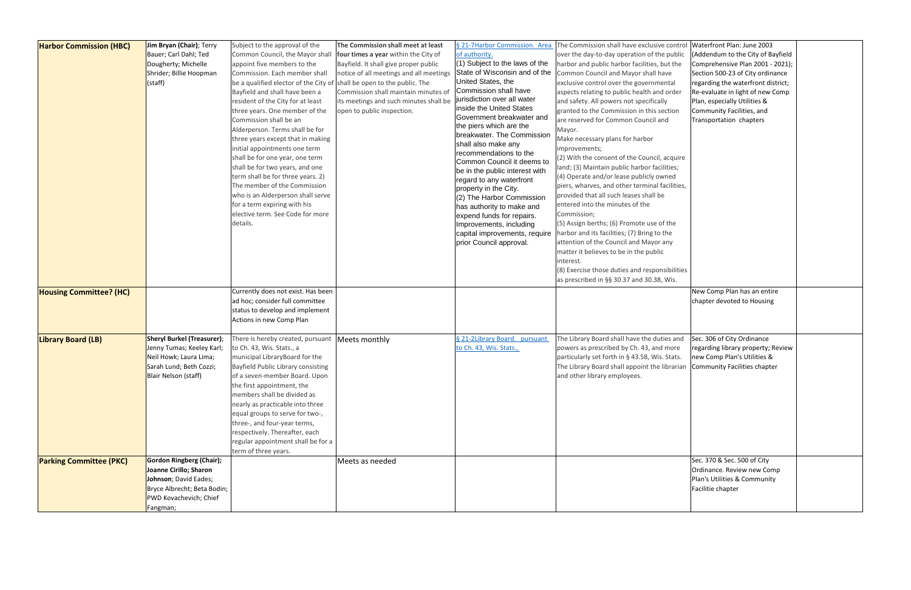| <b>Harbor Commission (HBC)</b> | Jim Bryan (Chair); Terry<br>Bauer; Carl Dahl; Ted<br>Dougherty; Michelle<br>Shrider; Billie Hoopman<br>$\sqrt{\text{stat}}$                      | Subject to the approval of the<br>Common Council, the Mayor shall<br>appoint five members to the<br>Commission. Each member shall<br>be a qualified elector of the City of shall be open to the public. The                                                                                                                                                                                                                                                                                              | The Commission shall meet at least<br>four times a year within the City of<br>Bayfield. It shall give proper public<br>notice of all meetings and all meetings | of authority.<br>$(1)$ Subject to the laws of the<br>United States, the                                                                                                                                                                                                                                                                                                                                                                                                                   | § 21-7Harbor Commission. Area The Commission shall have exclusive control Waterfront Plan: June 2003<br>over the day-to-day operation of the public<br>harbor and public harbor facilities, but the<br>State of Wisconsin and of the   Common Council and Mayor shall have<br>exclusive control over the governmental                                                                                                                                                                                                                                                                                                                                                                                                                                                                                                                                         | (Addendum to the City of Bayfield<br>Comprehensive Plan 2001 - 2021);<br>Section 500-23 of City ordinance<br>regarding the waterfront district; |  |
|--------------------------------|--------------------------------------------------------------------------------------------------------------------------------------------------|----------------------------------------------------------------------------------------------------------------------------------------------------------------------------------------------------------------------------------------------------------------------------------------------------------------------------------------------------------------------------------------------------------------------------------------------------------------------------------------------------------|----------------------------------------------------------------------------------------------------------------------------------------------------------------|-------------------------------------------------------------------------------------------------------------------------------------------------------------------------------------------------------------------------------------------------------------------------------------------------------------------------------------------------------------------------------------------------------------------------------------------------------------------------------------------|---------------------------------------------------------------------------------------------------------------------------------------------------------------------------------------------------------------------------------------------------------------------------------------------------------------------------------------------------------------------------------------------------------------------------------------------------------------------------------------------------------------------------------------------------------------------------------------------------------------------------------------------------------------------------------------------------------------------------------------------------------------------------------------------------------------------------------------------------------------|-------------------------------------------------------------------------------------------------------------------------------------------------|--|
|                                |                                                                                                                                                  | Bayfield and shall have been a<br>resident of the City for at least<br>three years. One member of the<br>Commission shall be an<br>Alderperson. Terms shall be for<br>three years except that in making<br>initial appointments one term<br>shall be for one year, one term<br>shall be for two years, and one<br>term shall be for three years. 2)<br>The member of the Commission<br>who is an Alderperson shall serve<br>for a term expiring with his<br>elective term. See Code for more<br>details. | Commission shall maintain minutes of<br>its meetings and such minutes shall be<br>open to public inspection.                                                   | Commission shall have<br>jurisdiction over all water<br>Inside the United States<br>Government breakwater and<br>the piers which are the<br>breakwater. The Commission<br>shall also make any<br>recommendations to the<br>Common Council it deems to<br>be in the public interest with<br>regard to any waterfront<br>property in the City.<br>(2) The Harbor Commission<br>has authority to make and<br>expend funds for repairs.<br>Improvements, including<br>prior Council approval. | aspects relating to public health and order<br>and safety. All powers not specifically<br>granted to the Commission in this section<br>are reserved for Common Council and<br>Mayor.<br>Make necessary plans for harbor<br>improvements;<br>(2) With the consent of the Council, acquire<br>land; (3) Maintain public harbor facilities;<br>(4) Operate and/or lease publicly owned<br>piers, wharves, and other terminal facilities,<br>provided that all such leases shall be<br>entered into the minutes of the<br>Commission;<br>(5) Assign berths; (6) Promote use of the<br>capital improvements, require   harbor and its facilities; (7) Bring to the<br>attention of the Council and Mayor any<br>matter it believes to be in the public<br>interest.<br>(8) Exercise those duties and responsibilities<br>as prescribed in §§ 30.37 and 30.38, Wis. | Re-evaluate in light of new Comp<br>Plan, especially Utilities &<br>Community Facilities, and<br>Transportation chapters                        |  |
| <b>Housing Committee? (HC)</b> |                                                                                                                                                  | Currently does not exist. Has been<br>ad hoc; consider full committee<br>status to develop and implement<br>Actions in new Comp Plan                                                                                                                                                                                                                                                                                                                                                                     |                                                                                                                                                                |                                                                                                                                                                                                                                                                                                                                                                                                                                                                                           |                                                                                                                                                                                                                                                                                                                                                                                                                                                                                                                                                                                                                                                                                                                                                                                                                                                               | New Comp Plan has an entire<br>chapter devoted to Housing                                                                                       |  |
| <b>Library Board (LB)</b>      | Sheryl Burkel (Treasurer);<br>Jenny Tumas; Keeley Karl;<br>Neil Howk; Laura Lima;<br>Sarah Lund; Beth Cozzi;<br>Blair Nelson (staff)             | There is hereby created, pursuant<br>to Ch. 43, Wis. Stats., a<br>municipal LibraryBoard for the<br>Bayfield Public Library consisting<br>of a seven-member Board. Upon<br>the first appointment, the<br>members shall be divided as<br>nearly as practicable into three<br>equal groups to serve for two-,<br>three-, and four-year terms,<br>respectively. Thereafter, each<br>regular appointment shall be for a<br>term of three years.                                                              | Meets monthly                                                                                                                                                  | § 21-2Library Board. pursuant<br>to Ch. 43, Wis. Stats.,                                                                                                                                                                                                                                                                                                                                                                                                                                  | The Library Board shall have the duties and<br>powers as prescribed by Ch. 43, and more<br>particularly set forth in § 43.58, Wis. Stats.<br>The Library Board shall appoint the librarian<br>and other library employees.                                                                                                                                                                                                                                                                                                                                                                                                                                                                                                                                                                                                                                    | Sec. 306 of City Ordinance<br>regarding library property; Review<br>new Comp Plan's Utilities &<br>Community Facilities chapter                 |  |
| <b>Parking Committee (PKC)</b> | Gordon Ringberg (Chair);<br>Joanne Cirillo; Sharon<br>Johnson; David Eades;<br>Bryce Albrecht; Beta Bodin;<br>PWD Kovachevich; Chief<br>Fangman; |                                                                                                                                                                                                                                                                                                                                                                                                                                                                                                          | Meets as needed                                                                                                                                                |                                                                                                                                                                                                                                                                                                                                                                                                                                                                                           |                                                                                                                                                                                                                                                                                                                                                                                                                                                                                                                                                                                                                                                                                                                                                                                                                                                               | Sec. 370 & Sec. 500 of City<br>Ordinance. Review new Comp<br>Plan's Utilities & Community<br>Facilitie chapter                                  |  |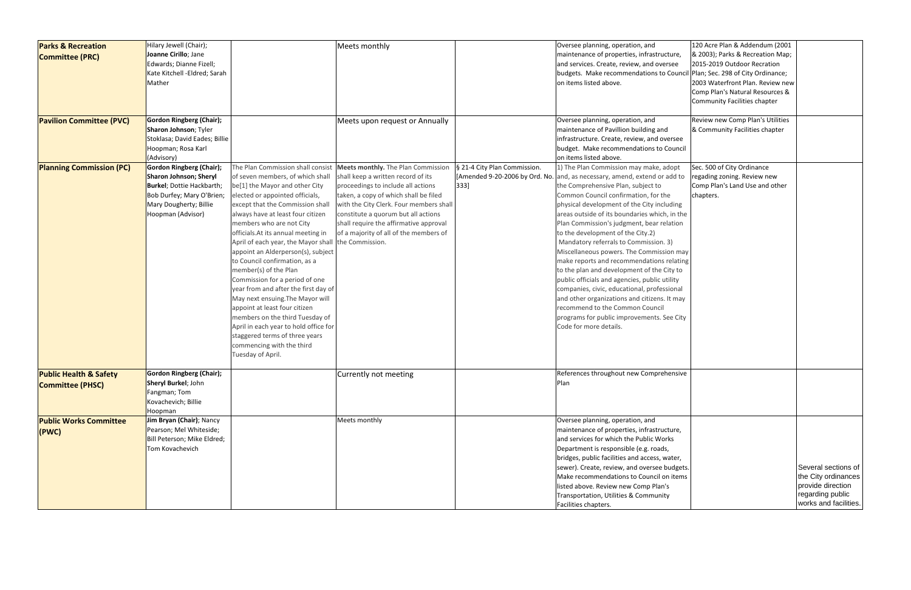| <b>Parks &amp; Recreation</b><br><b>Committee (PRC)</b> | Hilary Jewell (Chair);<br>Joanne Cirillo; Jane |                                                     | Meets monthly                           |                              | Oversee planning, operation, and<br>maintenance of properties, infrastructure, | 120 Acre Plan & Addendum (2001<br>& 2003); Parks & Recreation Map; |                       |
|---------------------------------------------------------|------------------------------------------------|-----------------------------------------------------|-----------------------------------------|------------------------------|--------------------------------------------------------------------------------|--------------------------------------------------------------------|-----------------------|
|                                                         | Edwards; Dianne Fizell;                        |                                                     |                                         |                              | and services. Create, review, and oversee                                      | 2015-2019 Outdoor Recration                                        |                       |
|                                                         | Kate Kitchell - Eldred; Sarah                  |                                                     |                                         |                              | budgets. Make recommendations to Council Plan; Sec. 298 of City Ordinance;     |                                                                    |                       |
|                                                         | Mather                                         |                                                     |                                         |                              | on items listed above.                                                         | 2003 Waterfront Plan. Review new                                   |                       |
|                                                         |                                                |                                                     |                                         |                              |                                                                                | Comp Plan's Natural Resources &                                    |                       |
|                                                         |                                                |                                                     |                                         |                              |                                                                                |                                                                    |                       |
|                                                         |                                                |                                                     |                                         |                              |                                                                                | Community Facilities chapter                                       |                       |
| <b>Pavilion Committee (PVC)</b>                         | Gordon Ringberg (Chair);                       |                                                     | Meets upon request or Annually          |                              | Oversee planning, operation, and                                               | Review new Comp Plan's Utilities                                   |                       |
|                                                         | Sharon Johnson; Tyler                          |                                                     |                                         |                              | maintenance of Pavillion building and                                          | & Community Facilities chapter                                     |                       |
|                                                         | Stoklasa; David Eades; Billie                  |                                                     |                                         |                              | infrastructure. Create, review, and oversee                                    |                                                                    |                       |
|                                                         | Hoopman; Rosa Karl                             |                                                     |                                         |                              | budget. Make recommendations to Council                                        |                                                                    |                       |
|                                                         | (Advisory)                                     |                                                     |                                         |                              | on items listed above.                                                         |                                                                    |                       |
| <b>Planning Commission (PC)</b>                         | Gordon Ringberg (Chair);                       | The Plan Commission shall consist                   | Meets monthly. The Plan Commission      | § 21-4 City Plan Commission. | 1) The Plan Commission may make, adopt                                         | Sec. 500 of City Ordinance                                         |                       |
|                                                         | Sharon Johnson; Sheryl                         | of seven members, of which shall                    | shall keep a written record of its      |                              | [Amended 9-20-2006 by Ord. No. and, as necessary, amend, extend or add to      | regading zoning. Review new                                        |                       |
|                                                         | <b>Burkel</b> ; Dottie Hackbarth;              | be[1] the Mayor and other City                      | proceedings to include all actions      | $[333]$                      | the Comprehensive Plan, subject to                                             | Comp Plan's Land Use and other                                     |                       |
|                                                         | Bob Durfey; Mary O'Brien;                      | elected or appointed officials,                     | taken, a copy of which shall be filed   |                              | Common Council confirmation, for the                                           | chapters.                                                          |                       |
|                                                         | Mary Dougherty; Billie                         | except that the Commission shall                    | with the City Clerk. Four members shall |                              | physical development of the City including                                     |                                                                    |                       |
|                                                         | Hoopman (Advisor)                              | always have at least four citizen                   | constitute a quorum but all actions     |                              | areas outside of its boundaries which, in the                                  |                                                                    |                       |
|                                                         |                                                | members who are not City                            | shall require the affirmative approval  |                              | Plan Commission's judgment, bear relation                                      |                                                                    |                       |
|                                                         |                                                | officials. At its annual meeting in                 | of a majority of all of the members of  |                              | to the development of the City.2)                                              |                                                                    |                       |
|                                                         |                                                | April of each year, the Mayor shall the Commission. |                                         |                              | Mandatory referrals to Commission. 3)                                          |                                                                    |                       |
|                                                         |                                                | appoint an Alderperson(s), subject                  |                                         |                              | Miscellaneous powers. The Commission may                                       |                                                                    |                       |
|                                                         |                                                | to Council confirmation, as a                       |                                         |                              | make reports and recommendations relating                                      |                                                                    |                       |
|                                                         |                                                | member(s) of the Plan                               |                                         |                              | to the plan and development of the City to                                     |                                                                    |                       |
|                                                         |                                                | Commission for a period of one                      |                                         |                              | public officials and agencies, public utility                                  |                                                                    |                       |
|                                                         |                                                | year from and after the first day of                |                                         |                              | companies, civic, educational, professional                                    |                                                                    |                       |
|                                                         |                                                | May next ensuing. The Mayor will                    |                                         |                              | and other organizations and citizens. It may                                   |                                                                    |                       |
|                                                         |                                                | appoint at least four citizen                       |                                         |                              | recommend to the Common Council                                                |                                                                    |                       |
|                                                         |                                                | members on the third Tuesday of                     |                                         |                              | programs for public improvements. See City                                     |                                                                    |                       |
|                                                         |                                                | April in each year to hold office for               |                                         |                              | Code for more details.                                                         |                                                                    |                       |
|                                                         |                                                | staggered terms of three years                      |                                         |                              |                                                                                |                                                                    |                       |
|                                                         |                                                | commencing with the third                           |                                         |                              |                                                                                |                                                                    |                       |
|                                                         |                                                | Tuesday of April.                                   |                                         |                              |                                                                                |                                                                    |                       |
|                                                         |                                                |                                                     |                                         |                              |                                                                                |                                                                    |                       |
| <b>Public Health &amp; Safety</b>                       | Gordon Ringberg (Chair);                       |                                                     | Currently not meeting                   |                              | References throughout new Comprehensive                                        |                                                                    |                       |
| <b>Committee (PHSC)</b>                                 | Sheryl Burkel; John                            |                                                     |                                         |                              | <b>Plan</b>                                                                    |                                                                    |                       |
|                                                         | Fangman; Tom                                   |                                                     |                                         |                              |                                                                                |                                                                    |                       |
|                                                         | Kovachevich; Billie                            |                                                     |                                         |                              |                                                                                |                                                                    |                       |
|                                                         | Hoopman                                        |                                                     |                                         |                              |                                                                                |                                                                    |                       |
| <b>Public Works Committee</b>                           | Jim Bryan (Chair); Nancy                       |                                                     | Meets monthly                           |                              | Oversee planning, operation, and                                               |                                                                    |                       |
| (PWC)                                                   | Pearson; Mel Whiteside;                        |                                                     |                                         |                              | maintenance of properties, infrastructure,                                     |                                                                    |                       |
|                                                         | Bill Peterson; Mike Eldred;                    |                                                     |                                         |                              | and services for which the Public Works                                        |                                                                    |                       |
|                                                         | Tom Kovachevich                                |                                                     |                                         |                              | Department is responsible (e.g. roads,                                         |                                                                    |                       |
|                                                         |                                                |                                                     |                                         |                              | bridges, public facilities and access, water,                                  |                                                                    |                       |
|                                                         |                                                |                                                     |                                         |                              | sewer). Create, review, and oversee budgets.                                   |                                                                    | Several sections of   |
|                                                         |                                                |                                                     |                                         |                              | Make recommendations to Council on items                                       |                                                                    | the City ordinances   |
|                                                         |                                                |                                                     |                                         |                              | listed above. Review new Comp Plan's                                           |                                                                    | provide direction     |
|                                                         |                                                |                                                     |                                         |                              | Transportation, Utilities & Community                                          |                                                                    | regarding public      |
|                                                         |                                                |                                                     |                                         |                              | Facilities chapters.                                                           |                                                                    | works and facilities. |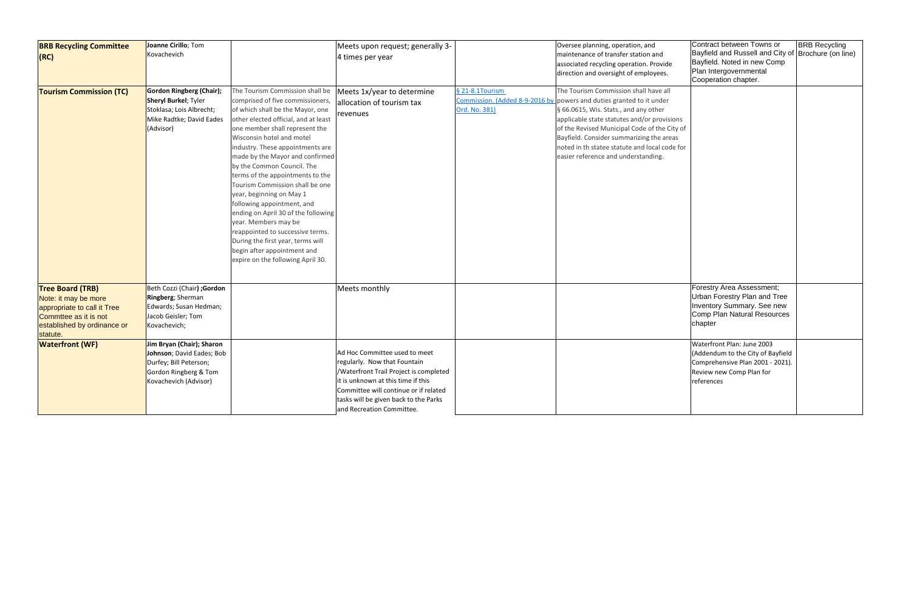| <b>BRB Recycling Committee</b><br>(RC)<br><b>Tourism Commission (TC)</b>                                                                           | Joanne Cirillo; Tom<br>Kovachevich<br>Gordon Ringberg (Chair);<br>Sheryl Burkel; Tyler<br>Stoklasa; Lois Albrecht;<br>Mike Radtke; David Eades<br>(Advisor) | The Tourism Commission shall be<br>comprised of five commissioners<br>of which shall be the Mayor, one<br>other elected official, and at least<br>one member shall represent the<br>Wisconsin hotel and motel<br>industry. These appointments are<br>made by the Mayor and confirmed<br>by the Common Council. The<br>terms of the appointments to the<br>Tourism Commission shall be one<br>year, beginning on May 1<br>following appointment, and<br>ending on April 30 of the following<br>year. Members may be<br>reappointed to successive terms.<br>During the first year, terms will<br>begin after appointment and<br>expire on the following April 30. | Meets upon request; generally 3-<br>4 times per year<br>Meets 1x/year to determine<br>allocation of tourism tax<br>revenues                                                                                                                                 | § 21-8.1Tourism<br>Ord. No. 381) | Oversee planning, operation, and<br>maintenance of transfer station and<br>associated recycling operation. Provide<br>direction and oversight of employees.<br>The Tourism Commission shall have all<br>Commission. (Added 8-9-2016 by powers and duties granted to it under<br>§ 66.0615, Wis. Stats., and any other<br>applicable state statutes and/or provisions<br>of the Revised Municipal Code of the City of<br>Bayfield. Consider summarizing the areas<br>noted in th statee statute and local code for<br>easier reference and understanding. | Contract between Towns or<br>Bayfield and Russell and City of Brochure (on line)<br>Bayfield. Noted in new Comp<br>Plan Intergovernmental<br>Cooperation chapter. | <b>BRB Recycling</b> |
|----------------------------------------------------------------------------------------------------------------------------------------------------|-------------------------------------------------------------------------------------------------------------------------------------------------------------|-----------------------------------------------------------------------------------------------------------------------------------------------------------------------------------------------------------------------------------------------------------------------------------------------------------------------------------------------------------------------------------------------------------------------------------------------------------------------------------------------------------------------------------------------------------------------------------------------------------------------------------------------------------------|-------------------------------------------------------------------------------------------------------------------------------------------------------------------------------------------------------------------------------------------------------------|----------------------------------|----------------------------------------------------------------------------------------------------------------------------------------------------------------------------------------------------------------------------------------------------------------------------------------------------------------------------------------------------------------------------------------------------------------------------------------------------------------------------------------------------------------------------------------------------------|-------------------------------------------------------------------------------------------------------------------------------------------------------------------|----------------------|
| <b>Tree Board (TRB)</b><br>Note: it may be more<br>appropriate to call it Tree<br>Commttee as it is not<br>established by ordinance or<br>statute. | Beth Cozzi (Chair) ;Gordon<br><b>Ringberg</b> ; Sherman<br>Edwards; Susan Hedman;<br>Jacob Geisler; Tom<br>Kovachevich;                                     |                                                                                                                                                                                                                                                                                                                                                                                                                                                                                                                                                                                                                                                                 | Meets monthly                                                                                                                                                                                                                                               |                                  |                                                                                                                                                                                                                                                                                                                                                                                                                                                                                                                                                          | Forestry Area Assessment;<br>Urban Forestry Plan and Tree<br>Inventory Summary. See new<br>Comp Plan Natural Resources<br>chapter                                 |                      |
| <b>Waterfront (WF)</b>                                                                                                                             | Jim Bryan (Chair); Sharon<br>Johnson; David Eades; Bob<br>Durfey; Bill Peterson;<br>Gordon Ringberg & Tom<br>Kovachevich (Advisor)                          |                                                                                                                                                                                                                                                                                                                                                                                                                                                                                                                                                                                                                                                                 | Ad Hoc Committee used to meet<br>regularly. Now that Fountain<br>Waterfront Trail Project is completed<br>it is unknown at this time if this<br>Committee will continue or if related<br>tasks will be given back to the Parks<br>and Recreation Committee. |                                  |                                                                                                                                                                                                                                                                                                                                                                                                                                                                                                                                                          | Waterfront Plan: June 2003<br>(Addendum to the City of Bayfield<br>Comprehensive Plan 2001 - 2021).<br>Review new Comp Plan for<br>references                     |                      |